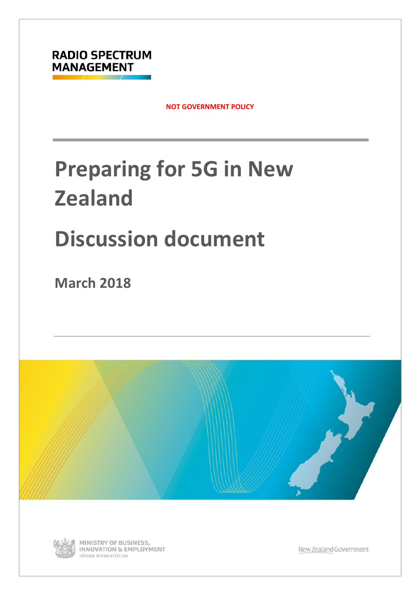

**NOT GOVERNMENT POLICY**

# **Preparing for 5G in New Zealand**

# **Discussion document**

**March 2018** 



<span id="page-0-0"></span>

MINISTRY OF BUSINESS, **INNOVATION & EMPLOYMENT** HĪKINA WHAKATUTUKI

New Zealand Government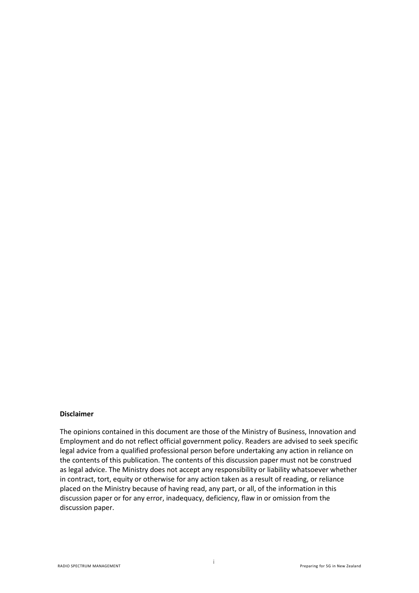#### **Disclaimer**

The opinions contained in this document are those of the Ministry of Business, Innovation and Employment and do not reflect official government policy. Readers are advised to seek specific legal advice from a qualified professional person before undertaking any action in reliance on the contents of this publication. The contents of this discussion paper must not be construed as legal advice. The Ministry does not accept any responsibility or liability whatsoever whether in contract, tort, equity or otherwise for any action taken as a result of reading, or reliance placed on the Ministry because of having read, any part, or all, of the information in this discussion paper or for any error, inadequacy, deficiency, flaw in or omission from the discussion paper.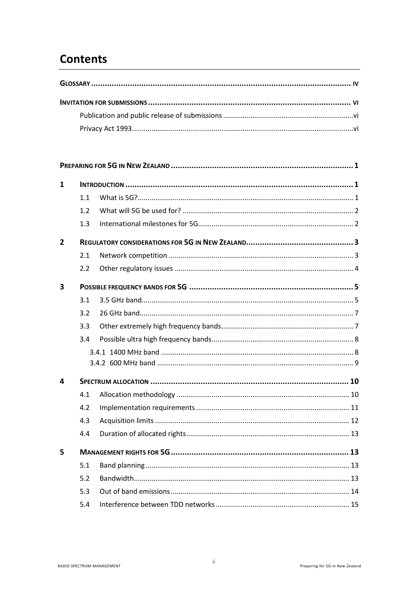# **Contents**

| $\mathbf{1}$            |     |  |
|-------------------------|-----|--|
|                         | 1.1 |  |
|                         | 1.2 |  |
|                         | 1.3 |  |
| 2                       |     |  |
|                         | 2.1 |  |
|                         | 2.2 |  |
| $\overline{\mathbf{3}}$ |     |  |
|                         | 3.1 |  |
|                         | 3.2 |  |
|                         | 3.3 |  |
|                         | 3.4 |  |
|                         |     |  |
|                         |     |  |
| 4                       |     |  |
|                         | 4.1 |  |
|                         | 4.2 |  |
|                         | 4.3 |  |
|                         | 4.4 |  |
| 5                       |     |  |
|                         | 5.1 |  |
|                         | 5.2 |  |
|                         | 5.3 |  |
|                         | 5.4 |  |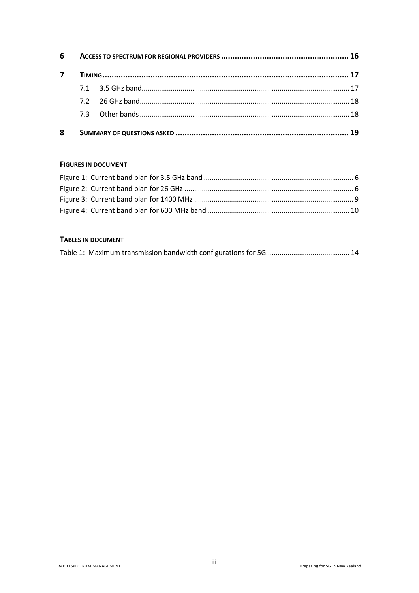| 6 |  |  |  |  |  |  |  |  |  |
|---|--|--|--|--|--|--|--|--|--|
| 7 |  |  |  |  |  |  |  |  |  |
|   |  |  |  |  |  |  |  |  |  |
|   |  |  |  |  |  |  |  |  |  |
|   |  |  |  |  |  |  |  |  |  |
| 8 |  |  |  |  |  |  |  |  |  |

#### **FIGURES IN DOCUMENT**

#### TABLES IN DOCUMENT

|--|--|--|--|--|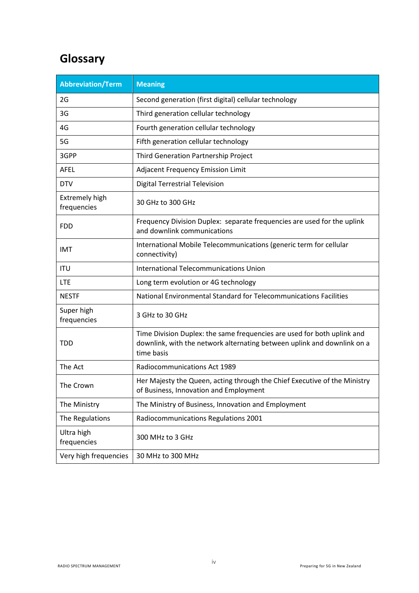# <span id="page-4-0"></span>**Glossary**

| <b>Abbreviation/Term</b>             | <b>Meaning</b>                                                                                                                                                   |
|--------------------------------------|------------------------------------------------------------------------------------------------------------------------------------------------------------------|
| 2G                                   | Second generation (first digital) cellular technology                                                                                                            |
| 3G                                   | Third generation cellular technology                                                                                                                             |
| 4G                                   | Fourth generation cellular technology                                                                                                                            |
| 5G                                   | Fifth generation cellular technology                                                                                                                             |
| 3GPP                                 | Third Generation Partnership Project                                                                                                                             |
| <b>AFEL</b>                          | Adjacent Frequency Emission Limit                                                                                                                                |
| <b>DTV</b>                           | <b>Digital Terrestrial Television</b>                                                                                                                            |
| <b>Extremely high</b><br>frequencies | 30 GHz to 300 GHz                                                                                                                                                |
| <b>FDD</b>                           | Frequency Division Duplex: separate frequencies are used for the uplink<br>and downlink communications                                                           |
| <b>IMT</b>                           | International Mobile Telecommunications (generic term for cellular<br>connectivity)                                                                              |
| <b>ITU</b>                           | International Telecommunications Union                                                                                                                           |
| <b>LTE</b>                           | Long term evolution or 4G technology                                                                                                                             |
| <b>NESTF</b>                         | National Environmental Standard for Telecommunications Facilities                                                                                                |
| Super high<br>frequencies            | 3 GHz to 30 GHz                                                                                                                                                  |
| <b>TDD</b>                           | Time Division Duplex: the same frequencies are used for both uplink and<br>downlink, with the network alternating between uplink and downlink on a<br>time basis |
| The Act                              | Radiocommunications Act 1989                                                                                                                                     |
| The Crown                            | Her Majesty the Queen, acting through the Chief Executive of the Ministry<br>of Business, Innovation and Employment                                              |
| The Ministry                         | The Ministry of Business, Innovation and Employment                                                                                                              |
| The Regulations                      | Radiocommunications Regulations 2001                                                                                                                             |
| Ultra high<br>frequencies            | 300 MHz to 3 GHz                                                                                                                                                 |
| Very high frequencies                | 30 MHz to 300 MHz                                                                                                                                                |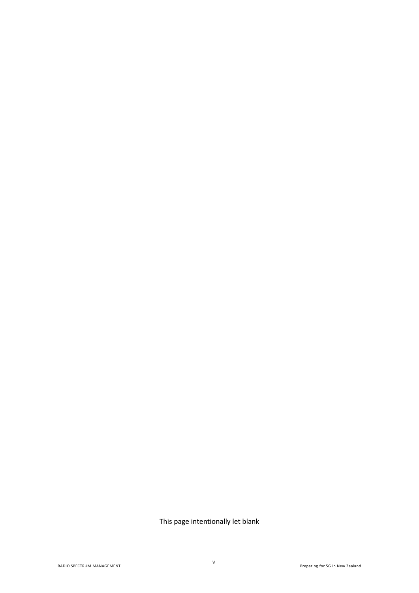This page intentionally let blank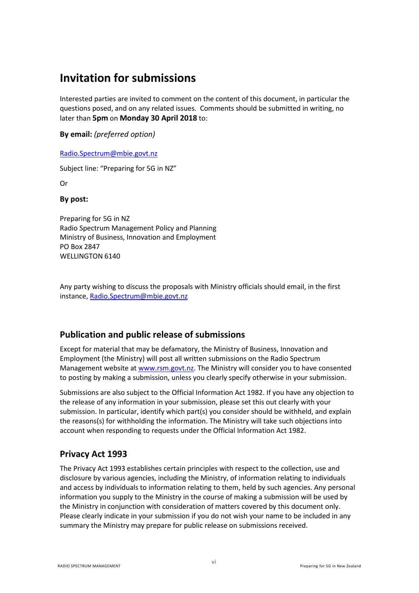# <span id="page-6-0"></span>**Invitation for submissions**

Interested parties are invited to comment on the content of this document, in particular the questions posed, and on any related issues. Comments should be submitted in writing, no later than **5pm** on **Monday 30 April 2018** to:

**By email:** *(preferred option)*

[Radio.Spectrum@mbie.govt.nz](mailto:Radio.Spectrum@mbie.govt.nz)

Subject line: "Preparing for 5G in NZ"

Or

#### **By post:**

Preparing for 5G in NZ Radio Spectrum Management Policy and Planning Ministry of Business, Innovation and Employment PO Box 2847 WELLINGTON 6140

Any party wishing to discuss the proposals with Ministry officials should email, in the first instance[, Radio.Spectrum@mbie.govt.nz](mailto:Radio.Spectrum@mbie.govt.nz)

#### <span id="page-6-1"></span>**Publication and public release of submissions**

Except for material that may be defamatory, the Ministry of Business, Innovation and Employment (the Ministry) will post all written submissions on the Radio Spectrum Management website a[t www.rsm.govt.nz.](http://www.rsm.govt.nz/) The Ministry will consider you to have consented to posting by making a submission, unless you clearly specify otherwise in your submission.

Submissions are also subject to the Official Information Act 1982. If you have any objection to the release of any information in your submission, please set this out clearly with your submission. In particular, identify which part(s) you consider should be withheld, and explain the reasons(s) for withholding the information. The Ministry will take such objections into account when responding to requests under the Official Information Act 1982.

#### <span id="page-6-2"></span>**Privacy Act 1993**

The Privacy Act 1993 establishes certain principles with respect to the collection, use and disclosure by various agencies, including the Ministry, of information relating to individuals and access by individuals to information relating to them, held by such agencies. Any personal information you supply to the Ministry in the course of making a submission will be used by the Ministry in conjunction with consideration of matters covered by this document only. Please clearly indicate in your submission if you do not wish your name to be included in any summary the Ministry may prepare for public release on submissions received.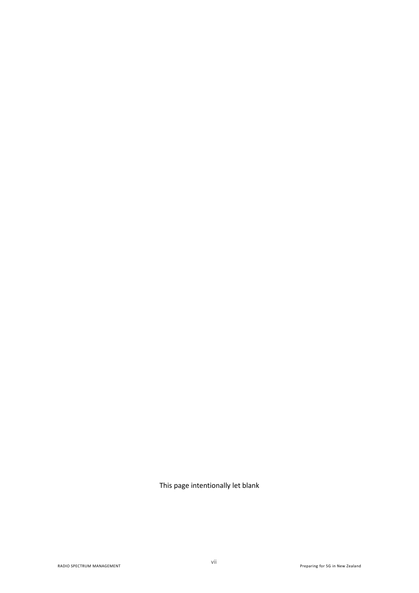This page intentionally let blank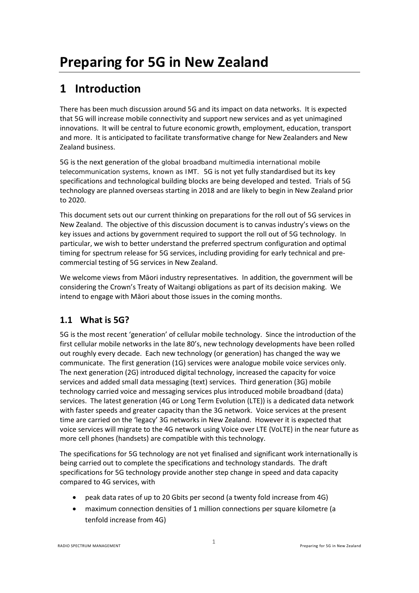# <span id="page-8-1"></span><span id="page-8-0"></span>**1 Introduction**

There has been much discussion around 5G and its impact on data networks. It is expected that 5G will increase mobile connectivity and support new services and as yet unimagined innovations. It will be central to future economic growth, employment, education, transport and more. It is anticipated to facilitate transformative change for New Zealanders and New Zealand business.

5G is the next generation of the global broadband multimedia international mobile telecommunication systems, known as IMT. 5G is not yet fully standardised but its key specifications and technological building blocks are being developed and tested. Trials of 5G technology are planned overseas starting in 2018 and are likely to begin in New Zealand prior to 2020.

This document sets out our current thinking on preparations for the roll out of 5G services in New Zealand. The objective of this discussion document is to canvas industry's views on the key issues and actions by government required to support the roll out of 5G technology. In particular, we wish to better understand the preferred spectrum configuration and optimal timing for spectrum release for 5G services, including providing for early technical and precommercial testing of 5G services in New Zealand.

We welcome views from Māori industry representatives. In addition, the government will be considering the Crown's Treaty of Waitangi obligations as part of its decision making. We intend to engage with Māori about those issues in the coming months.

# <span id="page-8-2"></span>**1.1 What is 5G?**

5G is the most recent 'generation' of cellular mobile technology. Since the introduction of the first cellular mobile networks in the late 80's, new technology developments have been rolled out roughly every decade. Each new technology (or generation) has changed the way we communicate. The first generation (1G) services were analogue mobile voice services only. The next generation (2G) introduced digital technology, increased the capacity for voice services and added small data messaging (text) services. Third generation (3G) mobile technology carried voice and messaging services plus introduced mobile broadband (data) services. The latest generation (4G or Long Term Evolution (LTE)) is a dedicated data network with faster speeds and greater capacity than the 3G network. Voice services at the present time are carried on the 'legacy' 3G networks in New Zealand. However it is expected that voice services will migrate to the 4G network using Voice over LTE (VoLTE) in the near future as more cell phones (handsets) are compatible with this technology.

The specifications for 5G technology are not yet finalised and significant work internationally is being carried out to complete the specifications and technology standards. The draft specifications for 5G technology provide another step change in speed and data capacity compared to 4G services, with

- peak data rates of up to 20 Gbits per second (a twenty fold increase from 4G)
- maximum connection densities of 1 million connections per square kilometre (a tenfold increase from 4G)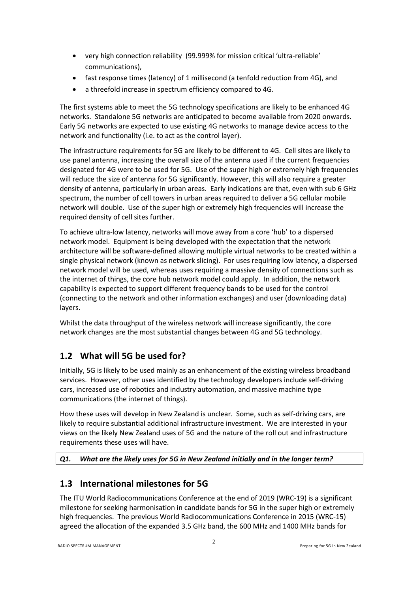- very high connection reliability (99.999% for mission critical 'ultra-reliable' communications),
- fast response times (latency) of 1 millisecond (a tenfold reduction from 4G), and
- a threefold increase in spectrum efficiency compared to 4G.

The first systems able to meet the 5G technology specifications are likely to be enhanced 4G networks. Standalone 5G networks are anticipated to become available from 2020 onwards. Early 5G networks are expected to use existing 4G networks to manage device access to the network and functionality (i.e. to act as the control layer).

The infrastructure requirements for 5G are likely to be different to 4G. Cell sites are likely to use panel antenna, increasing the overall size of the antenna used if the current frequencies designated for 4G were to be used for 5G. Use of the super high or extremely high frequencies will reduce the size of antenna for 5G significantly. However, this will also require a greater density of antenna, particularly in urban areas. Early indications are that, even with sub 6 GHz spectrum, the number of cell towers in urban areas required to deliver a 5G cellular mobile network will double. Use of the super high or extremely high frequencies will increase the required density of cell sites further.

To achieve ultra-low latency, networks will move away from a core 'hub' to a dispersed network model. Equipment is being developed with the expectation that the network architecture will be software-defined allowing multiple virtual networks to be created within a single physical network (known as network slicing). For uses requiring low latency, a dispersed network model will be used, whereas uses requiring a massive density of connections such as the internet of things, the core hub network model could apply. In addition, the network capability is expected to support different frequency bands to be used for the control (connecting to the network and other information exchanges) and user (downloading data) layers.

Whilst the data throughput of the wireless network will increase significantly, the core network changes are the most substantial changes between 4G and 5G technology.

# <span id="page-9-0"></span>**1.2 What will 5G be used for?**

Initially, 5G is likely to be used mainly as an enhancement of the existing wireless broadband services. However, other uses identified by the technology developers include self-driving cars, increased use of robotics and industry automation, and massive machine type communications (the internet of things).

How these uses will develop in New Zealand is unclear. Some, such as self-driving cars, are likely to require substantial additional infrastructure investment. We are interested in your views on the likely New Zealand uses of 5G and the nature of the roll out and infrastructure requirements these uses will have.

#### <span id="page-9-2"></span><span id="page-9-1"></span>*Q1. What are the likely uses for 5G in New Zealand initially and in the longer term?*

## **1.3 International milestones for 5G**

The ITU World Radiocommunications Conference at the end of 2019 (WRC-19) is a significant milestone for seeking harmonisation in candidate bands for 5G in the super high or extremely high frequencies. The previous World Radiocommunications Conference in 2015 (WRC-15) agreed the allocation of the expanded 3.5 GHz band, the 600 MHz and 1400 MHz bands for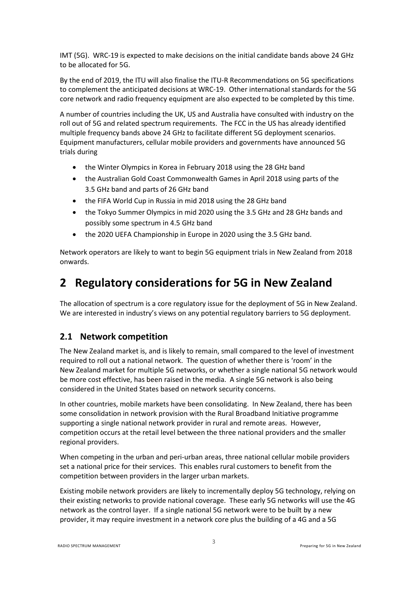IMT (5G). WRC-19 is expected to make decisions on the initial candidate bands above 24 GHz to be allocated for 5G.

By the end of 2019, the ITU will also finalise the ITU-R Recommendations on 5G specifications to complement the anticipated decisions at WRC-19. Other international standards for the 5G core network and radio frequency equipment are also expected to be completed by this time.

A number of countries including the UK, US and Australia have consulted with industry on the roll out of 5G and related spectrum requirements. The FCC in the US has already identified multiple frequency bands above 24 GHz to facilitate different 5G deployment scenarios. Equipment manufacturers, cellular mobile providers and governments have announced 5G trials during

- the Winter Olympics in Korea in February 2018 using the 28 GHz band
- the Australian Gold Coast Commonwealth Games in April 2018 using parts of the 3.5 GHz band and parts of 26 GHz band
- the FIFA World Cup in Russia in mid 2018 using the 28 GHz band
- the Tokyo Summer Olympics in mid 2020 using the 3.5 GHz and 28 GHz bands and possibly some spectrum in 4.5 GHz band
- the 2020 UEFA Championship in Europe in 2020 using the 3.5 GHz band.

Network operators are likely to want to begin 5G equipment trials in New Zealand from 2018 onwards.

# <span id="page-10-0"></span>**2 Regulatory considerations for 5G in New Zealand**

The allocation of spectrum is a core regulatory issue for the deployment of 5G in New Zealand. We are interested in industry's views on any potential regulatory barriers to 5G deployment.

## <span id="page-10-1"></span>**2.1 Network competition**

The New Zealand market is, and is likely to remain, small compared to the level of investment required to roll out a national network. The question of whether there is 'room' in the New Zealand market for multiple 5G networks, or whether a single national 5G network would be more cost effective, has been raised in the media. A single 5G network is also being considered in the United States based on network security concerns.

In other countries, mobile markets have been consolidating. In New Zealand, there has been some consolidation in network provision with the Rural Broadband Initiative programme supporting a single national network provider in rural and remote areas. However, competition occurs at the retail level between the three national providers and the smaller regional providers.

When competing in the urban and peri-urban areas, three national cellular mobile providers set a national price for their services. This enables rural customers to benefit from the competition between providers in the larger urban markets.

Existing mobile network providers are likely to incrementally deploy 5G technology, relying on their existing networks to provide national coverage. These early 5G networks will use the 4G network as the control layer. If a single national 5G network were to be built by a new provider, it may require investment in a network core plus the building of a 4G and a 5G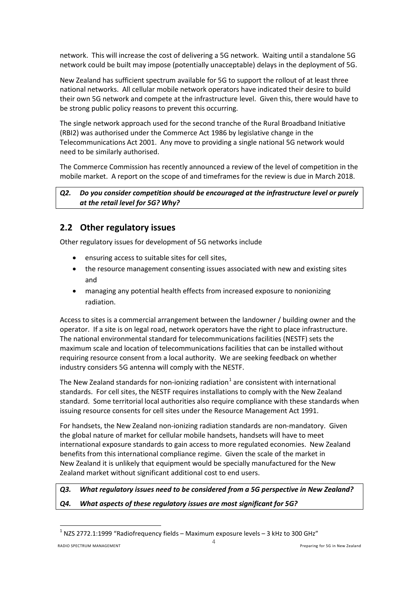network. This will increase the cost of delivering a 5G network. Waiting until a standalone 5G network could be built may impose (potentially unacceptable) delays in the deployment of 5G.

New Zealand has sufficient spectrum available for 5G to support the rollout of at least three national networks. All cellular mobile network operators have indicated their desire to build their own 5G network and compete at the infrastructure level. Given this, there would have to be strong public policy reasons to prevent this occurring.

The single network approach used for the second tranche of the Rural Broadband Initiative (RBI2) was authorised under the Commerce Act 1986 by legislative change in the Telecommunications Act 2001. Any move to providing a single national 5G network would need to be similarly authorised.

The Commerce Commission has recently announced a review of the level of competition in the mobile market. A report on the scope of and timeframes for the review is due in March 2018.

#### <span id="page-11-2"></span>*Q2. Do you consider competition should be encouraged at the infrastructure level or purely at the retail level for 5G? Why?*

## <span id="page-11-0"></span>**2.2 Other regulatory issues**

Other regulatory issues for development of 5G networks include

- ensuring access to suitable sites for cell sites,
- the resource management consenting issues associated with new and existing sites and
- managing any potential health effects from increased exposure to nonionizing radiation.

Access to sites is a commercial arrangement between the landowner / building owner and the operator. If a site is on legal road, network operators have the right to place infrastructure. The national environmental standard for telecommunications facilities (NESTF) sets the maximum scale and location of telecommunications facilities that can be installed without requiring resource consent from a local authority. We are seeking feedback on whether industry considers 5G antenna will comply with the NESTF.

The New Zealand standards for non-ionizing radiation<sup>[1](#page-0-0)</sup> are consistent with international standards. For cell sites, the NESTF requires installations to comply with the New Zealand standard. Some territorial local authorities also require compliance with these standards when issuing resource consents for cell sites under the Resource Management Act 1991.

For handsets, the New Zealand non-ionizing radiation standards are non-mandatory. Given the global nature of market for cellular mobile handsets, handsets will have to meet international exposure standards to gain access to more regulated economies. New Zealand benefits from this international compliance regime. Given the scale of the market in New Zealand it is unlikely that equipment would be specially manufactured for the New Zealand market without significant additional cost to end users.

# <span id="page-11-4"></span><span id="page-11-3"></span>*Q3. What regulatory issues need to be considered from a 5G perspective in New Zealand? Q4. What aspects of these regulatory issues are most significant for 5G?*

**.** 

<span id="page-11-1"></span> $1$  NZS 2772.1:1999 "Radiofrequency fields – Maximum exposure levels – 3 kHz to 300 GHz"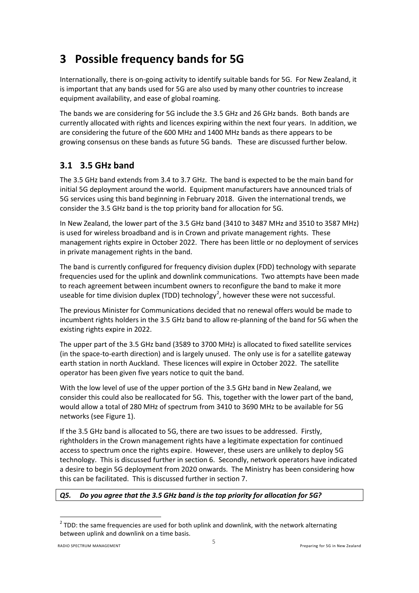# <span id="page-12-0"></span>**3 Possible frequency bands for 5G**

Internationally, there is on-going activity to identify suitable bands for 5G. For New Zealand, it is important that any bands used for 5G are also used by many other countries to increase equipment availability, and ease of global roaming.

The bands we are considering for 5G include the 3.5 GHz and 26 GHz bands. Both bands are currently allocated with rights and licences expiring within the next four years. In addition, we are considering the future of the 600 MHz and 1400 MHz bands as there appears to be growing consensus on these bands as future 5G bands. These are discussed further below.

# <span id="page-12-1"></span>**3.1 3.5 GHz band**

The 3.5 GHz band extends from 3.4 to 3.7 GHz. The band is expected to be the main band for initial 5G deployment around the world. Equipment manufacturers have announced trials of 5G services using this band beginning in February 2018. Given the international trends, we consider the 3.5 GHz band is the top priority band for allocation for 5G.

In New Zealand, the lower part of the 3.5 GHz band (3410 to 3487 MHz and 3510 to 3587 MHz) is used for wireless broadband and is in Crown and private management rights. These management rights expire in October 2022. There has been little or no deployment of services in private management rights in the band.

The band is currently configured for frequency division duplex (FDD) technology with separate frequencies used for the uplink and downlink communications. Two attempts have been made to reach agreement between incumbent owners to reconfigure the band to make it more useable for time division duplex (TDD) technology<sup>[2](#page-11-1)</sup>, however these were not successful.

The previous Minister for Communications decided that no renewal offers would be made to incumbent rights holders in the 3.5 GHz band to allow re-planning of the band for 5G when the existing rights expire in 2022.

The upper part of the 3.5 GHz band (3589 to 3700 MHz) is allocated to fixed satellite services (in the space-to-earth direction) and is largely unused. The only use is for a satellite gateway earth station in north Auckland. These licences will expire in October 2022. The satellite operator has been given five years notice to quit the band.

With the low level of use of the upper portion of the 3.5 GHz band in New Zealand, we consider this could also be reallocated for 5G. This, together with the lower part of the band, would allow a total of 280 MHz of spectrum from 3410 to 3690 MHz to be available for 5G networks (see Figure 1).

If the 3.5 GHz band is allocated to 5G, there are two issues to be addressed. Firstly, rightholders in the Crown management rights have a legitimate expectation for continued access to spectrum once the rights expire. However, these users are unlikely to deploy 5G technology. This is discussed further in section [6.](#page-23-0) Secondly, network operators have indicated a desire to begin 5G deployment from 2020 onwards. The Ministry has been considering how this can be facilitated. This is discussed further in section [7.](#page-24-0)

#### <span id="page-12-2"></span>*Q5. Do you agree that the 3.5 GHz band is the top priority for allocation for 5G?*

 $\overline{\phantom{a}}$ 

 $2$  TDD: the same frequencies are used for both uplink and downlink, with the network alternating between uplink and downlink on a time basis.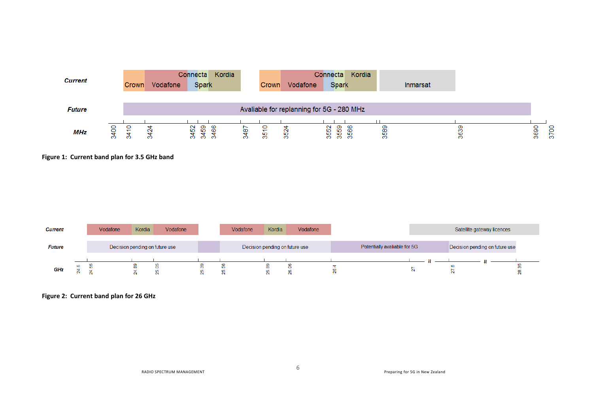| <b>Current</b> | Crown                   | Vodafone | Kordia<br>Connecta<br><b>Spark</b>   |     | Crown  | Vodafone                 | Kordia<br>Connectal<br><b>Spark</b>              |          | Inmarsat |                              |
|----------------|-------------------------|----------|--------------------------------------|-----|--------|--------------------------|--------------------------------------------------|----------|----------|------------------------------|
| <b>Future</b>  |                         |          |                                      |     |        |                          | Avaliable for replanning for 5G - 280 MHz        |          |          |                              |
| MHz            | o<br>$rac{6}{400}$<br>÷ | $\alpha$ | ဥ္က<br>∞<br><u>ន</u><br>$\circ$<br>m | 487 | 유<br>Ю | $\mathbf{\alpha}$<br>-93 | 552<br>თ<br>ю<br><b>CO</b><br>ю<br>Ю<br>$\infty$ | 589<br>∞ | 363      | PO <sub>Z</sub><br>3690<br>ര |

**Figure 1: Current band plan for 3.5 GHz band**

| <b>Current</b> | Vodafone | Kordia | Vodafone                       |           | Vodafone | Kordia | Vodafone                       |                              |  | Satellite gateway licences     |  |
|----------------|----------|--------|--------------------------------|-----------|----------|--------|--------------------------------|------------------------------|--|--------------------------------|--|
| <b>Future</b>  |          |        | Decision pending on future use |           |          |        | Decision pending on future use | Potentially avaliable for 5G |  | Decision pending on future use |  |
| GHz            |          | 8      |                                | $\bar{c}$ |          | œ      |                                |                              |  |                                |  |

**Figure 2: Current band plan for 26 GHz**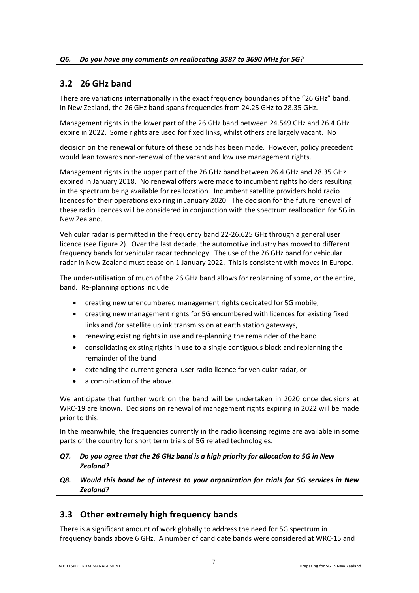#### <span id="page-14-2"></span><span id="page-14-0"></span>*Q6. Do you have any comments on reallocating 3587 to 3690 MHz for 5G?*

## **3.2 26 GHz band**

There are variations internationally in the exact frequency boundaries of the "26 GHz" band. In New Zealand, the 26 GHz band spans frequencies from 24.25 GHz to 28.35 GHz.

Management rights in the lower part of the 26 GHz band between 24.549 GHz and 26.4 GHz expire in 2022. Some rights are used for fixed links, whilst others are largely vacant. No

decision on the renewal or future of these bands has been made. However, policy precedent would lean towards non-renewal of the vacant and low use management rights.

Management rights in the upper part of the 26 GHz band between 26.4 GHz and 28.35 GHz expired in January 2018. No renewal offers were made to incumbent rights holders resulting in the spectrum being available for reallocation. Incumbent satellite providers hold radio licences for their operations expiring in January 2020. The decision for the future renewal of these radio licences will be considered in conjunction with the spectrum reallocation for 5G in New Zealand.

Vehicular radar is permitted in the frequency band 22-26.625 GHz through a general user licence (see Figure 2). Over the last decade, the automotive industry has moved to different frequency bands for vehicular radar technology. The use of the 26 GHz band for vehicular radar in New Zealand must cease on 1 January 2022. This is consistent with moves in Europe.

The under-utilisation of much of the 26 GHz band allows for replanning of some, or the entire, band. Re-planning options include

- creating new unencumbered management rights dedicated for 5G mobile,
- creating new management rights for 5G encumbered with licences for existing fixed links and /or satellite uplink transmission at earth station gateways,
- renewing existing rights in use and re-planning the remainder of the band
- consolidating existing rights in use to a single contiguous block and replanning the remainder of the band
- extending the current general user radio licence for vehicular radar, or
- a combination of the above.

We anticipate that further work on the band will be undertaken in 2020 once decisions at WRC-19 are known. Decisions on renewal of management rights expiring in 2022 will be made prior to this.

In the meanwhile, the frequencies currently in the radio licensing regime are available in some parts of the country for short term trials of 5G related technologies.

- <span id="page-14-3"></span>*Q7. Do you agree that the 26 GHz band is a high priority for allocation to 5G in New Zealand?*
- <span id="page-14-4"></span>*Q8. Would this band be of interest to your organization for trials for 5G services in New Zealand?*

## <span id="page-14-1"></span>**3.3 Other extremely high frequency bands**

There is a significant amount of work globally to address the need for 5G spectrum in frequency bands above 6 GHz. A number of candidate bands were considered at WRC-15 and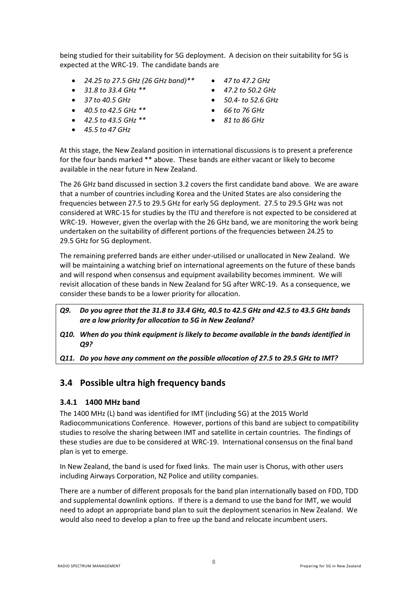being studied for their suitability for 5G deployment. A decision on their suitability for 5G is expected at the WRC-19. The candidate bands are

- *24.25 to 27.5 GHz (26 GHz band)\*\**
- *31.8 to 33.4 GHz \*\**
- *37 to 40.5 GHz*
- *40.5 to 42.5 GHz \*\**
- *42.5 to 43.5 GHz \*\**
- *45.5 to 47 GHz*
- *47 to 47.2 GHz*
- *47.2 to 50.2 GHz*
- *50.4- to 52.6 GHz*
- *66 to 76 GHz*
- *81 to 86 GHz*

At this stage, the New Zealand position in international discussions is to present a preference for the four bands marked \*\* above. These bands are either vacant or likely to become available in the near future in New Zealand.

The 26 GHz band discussed in sectio[n 3.2](#page-14-0) covers the first candidate band above. We are aware that a number of countries including Korea and the United States are also considering the frequencies between 27.5 to 29.5 GHz for early 5G deployment. 27.5 to 29.5 GHz was not considered at WRC-15 for studies by the ITU and therefore is not expected to be considered at WRC-19. However, given the overlap with the 26 GHz band, we are monitoring the work being undertaken on the suitability of different portions of the frequencies between 24.25 to 29.5 GHz for 5G deployment.

The remaining preferred bands are either under-utilised or unallocated in New Zealand. We will be maintaining a watching brief on international agreements on the future of these bands and will respond when consensus and equipment availability becomes imminent. We will revisit allocation of these bands in New Zealand for 5G after WRC-19. As a consequence, we consider these bands to be a lower priority for allocation.

- <span id="page-15-2"></span>*Q9. Do you agree that the 31.8 to 33.4 GHz, 40.5 to 42.5 GHz and 42.5 to 43.5 GHz bands are a low priority for allocation to 5G in New Zealand?*
- <span id="page-15-3"></span>*Q10. When do you think equipment is likely to become available in the bands identified in Q9?*

<span id="page-15-4"></span><span id="page-15-0"></span>*Q11. Do you have any comment on the possible allocation of 27.5 to 29.5 GHz to IMT?*

#### **3.4 Possible ultra high frequency bands**

#### <span id="page-15-1"></span>**3.4.1 1400 MHz band**

The 1400 MHz (L) band was identified for IMT (including 5G) at the 2015 World Radiocommunications Conference. However, portions of this band are subject to compatibility studies to resolve the sharing between IMT and satellite in certain countries. The findings of these studies are due to be considered at WRC-19. International consensus on the final band plan is yet to emerge.

In New Zealand, the band is used for fixed links. The main user is Chorus, with other users including Airways Corporation, NZ Police and utility companies.

There are a number of different proposals for the band plan internationally based on FDD, TDD and supplemental downlink options. If there is a demand to use the band for IMT, we would need to adopt an appropriate band plan to suit the deployment scenarios in New Zealand. We would also need to develop a plan to free up the band and relocate incumbent users.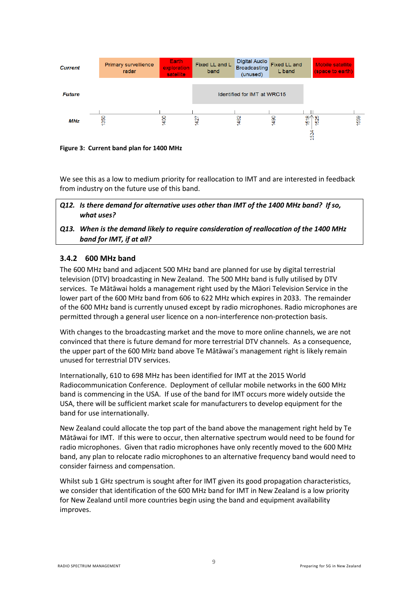

**Figure 3: Current band plan for 1400 MHz**

We see this as a low to medium priority for reallocation to IMT and are interested in feedback from industry on the future use of this band.

- <span id="page-16-1"></span>*Q12. Is there demand for alternative uses other than IMT of the 1400 MHz band? If so, what uses?*
- <span id="page-16-2"></span>*Q13. When is the demand likely to require consideration of reallocation of the 1400 MHz band for IMT, if at all?*

#### <span id="page-16-0"></span>**3.4.2 600 MHz band**

The 600 MHz band and adjacent 500 MHz band are planned for use by digital terrestrial television (DTV) broadcasting in New Zealand. The 500 MHz band is fully utilised by DTV services. Te Mātāwai holds a management right used by the Māori Television Service in the lower part of the 600 MHz band from 606 to 622 MHz which expires in 2033. The remainder of the 600 MHz band is currently unused except by radio microphones. Radio microphones are permitted through a general user licence on a non-interference non-protection basis.

With changes to the broadcasting market and the move to more online channels, we are not convinced that there is future demand for more terrestrial DTV channels. As a consequence, the upper part of the 600 MHz band above Te Mātāwai's management right is likely remain unused for terrestrial DTV services.

Internationally, 610 to 698 MHz has been identified for IMT at the 2015 World Radiocommunication Conference. Deployment of cellular mobile networks in the 600 MHz band is commencing in the USA. If use of the band for IMT occurs more widely outside the USA, there will be sufficient market scale for manufacturers to develop equipment for the band for use internationally.

New Zealand could allocate the top part of the band above the management right held by Te Mātāwai for IMT. If this were to occur, then alternative spectrum would need to be found for radio microphones. Given that radio microphones have only recently moved to the 600 MHz band, any plan to relocate radio microphones to an alternative frequency band would need to consider fairness and compensation.

Whilst sub 1 GHz spectrum is sought after for IMT given its good propagation characteristics, we consider that identification of the 600 MHz band for IMT in New Zealand is a low priority for New Zealand until more countries begin using the band and equipment availability improves.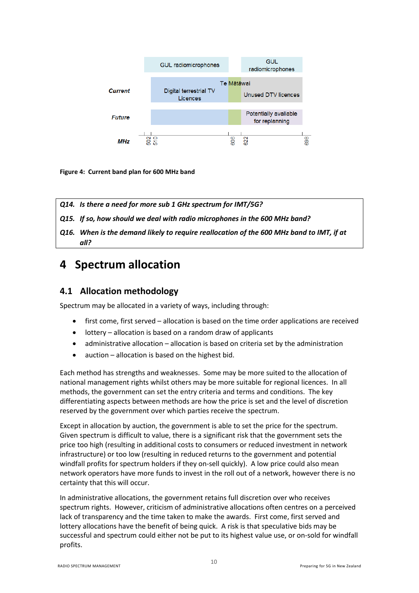

**Figure 4: Current band plan for 600 MHz band**

<span id="page-17-2"></span>

- <span id="page-17-3"></span>*Q15. If so, how should we deal with radio microphones in the 600 MHz band?*
- <span id="page-17-4"></span>*Q16. When is the demand likely to require reallocation of the 600 MHz band to IMT, if at all?*

# <span id="page-17-0"></span>**4 Spectrum allocation**

### <span id="page-17-1"></span>**4.1 Allocation methodology**

Spectrum may be allocated in a variety of ways, including through:

- first come, first served allocation is based on the time order applications are received
- lottery allocation is based on a random draw of applicants
- administrative allocation allocation is based on criteria set by the administration
- auction allocation is based on the highest bid.

Each method has strengths and weaknesses. Some may be more suited to the allocation of national management rights whilst others may be more suitable for regional licences. In all methods, the government can set the entry criteria and terms and conditions. The key differentiating aspects between methods are how the price is set and the level of discretion reserved by the government over which parties receive the spectrum.

Except in allocation by auction, the government is able to set the price for the spectrum. Given spectrum is difficult to value, there is a significant risk that the government sets the price too high (resulting in additional costs to consumers or reduced investment in network infrastructure) or too low (resulting in reduced returns to the government and potential windfall profits for spectrum holders if they on-sell quickly). A low price could also mean network operators have more funds to invest in the roll out of a network, however there is no certainty that this will occur.

In administrative allocations, the government retains full discretion over who receives spectrum rights. However, criticism of administrative allocations often centres on a perceived lack of transparency and the time taken to make the awards. First come, first served and lottery allocations have the benefit of being quick. A risk is that speculative bids may be successful and spectrum could either not be put to its highest value use, or on-sold for windfall profits.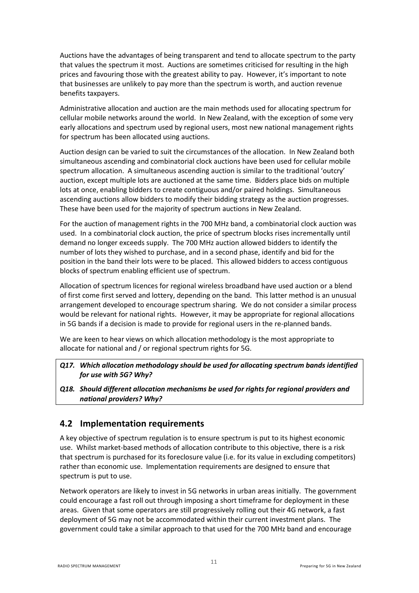Auctions have the advantages of being transparent and tend to allocate spectrum to the party that values the spectrum it most. Auctions are sometimes criticised for resulting in the high prices and favouring those with the greatest ability to pay. However, it's important to note that businesses are unlikely to pay more than the spectrum is worth, and auction revenue benefits taxpayers.

Administrative allocation and auction are the main methods used for allocating spectrum for cellular mobile networks around the world. In New Zealand, with the exception of some very early allocations and spectrum used by regional users, most new national management rights for spectrum has been allocated using auctions.

Auction design can be varied to suit the circumstances of the allocation. In New Zealand both simultaneous ascending and combinatorial clock auctions have been used for cellular mobile spectrum allocation. A simultaneous ascending auction is similar to the traditional 'outcry' auction, except multiple lots are auctioned at the same time. Bidders place bids on multiple lots at once, enabling bidders to create contiguous and/or paired holdings. Simultaneous ascending auctions allow bidders to modify their bidding strategy as the auction progresses. These have been used for the majority of spectrum auctions in New Zealand.

For the auction of management rights in the 700 MHz band, a combinatorial clock auction was used. In a combinatorial clock auction, the price of spectrum blocks rises incrementally until demand no longer exceeds supply. The 700 MHz auction allowed bidders to identify the number of lots they wished to purchase, and in a second phase, identify and bid for the position in the band their lots were to be placed. This allowed bidders to access contiguous blocks of spectrum enabling efficient use of spectrum.

Allocation of spectrum licences for regional wireless broadband have used auction or a blend of first come first served and lottery, depending on the band. This latter method is an unusual arrangement developed to encourage spectrum sharing. We do not consider a similar process would be relevant for national rights. However, it may be appropriate for regional allocations in 5G bands if a decision is made to provide for regional users in the re-planned bands.

We are keen to hear views on which allocation methodology is the most appropriate to allocate for national and / or regional spectrum rights for 5G.

- <span id="page-18-1"></span>*Q17. Which allocation methodology should be used for allocating spectrum bands identified for use with 5G? Why?*
- <span id="page-18-2"></span>*Q18. Should different allocation mechanisms be used for rights for regional providers and national providers? Why?*

## <span id="page-18-0"></span>**4.2 Implementation requirements**

A key objective of spectrum regulation is to ensure spectrum is put to its highest economic use. Whilst market-based methods of allocation contribute to this objective, there is a risk that spectrum is purchased for its foreclosure value (i.e. for its value in excluding competitors) rather than economic use. Implementation requirements are designed to ensure that spectrum is put to use.

Network operators are likely to invest in 5G networks in urban areas initially. The government could encourage a fast roll out through imposing a short timeframe for deployment in these areas. Given that some operators are still progressively rolling out their 4G network, a fast deployment of 5G may not be accommodated within their current investment plans. The government could take a similar approach to that used for the 700 MHz band and encourage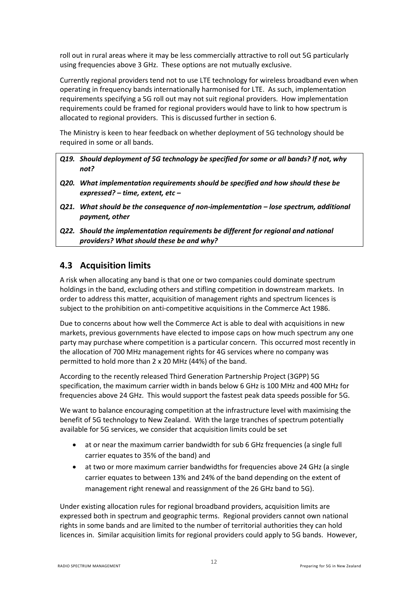roll out in rural areas where it may be less commercially attractive to roll out 5G particularly using frequencies above 3 GHz. These options are not mutually exclusive.

Currently regional providers tend not to use LTE technology for wireless broadband even when operating in frequency bands internationally harmonised for LTE. As such, implementation requirements specifying a 5G roll out may not suit regional providers. How implementation requirements could be framed for regional providers would have to link to how spectrum is allocated to regional providers. This is discussed further in section [6.](#page-23-0)

The Ministry is keen to hear feedback on whether deployment of 5G technology should be required in some or all bands.

- <span id="page-19-1"></span>*Q19. Should deployment of 5G technology be specified for some or all bands? If not, why not?*
- <span id="page-19-2"></span>*Q20. What implementation requirements should be specified and how should these be expressed? – time, extent, etc –*
- <span id="page-19-3"></span>*Q21. What should be the consequence of non-implementation – lose spectrum, additional payment, other*
- <span id="page-19-4"></span>*Q22. Should the implementation requirements be different for regional and national providers? What should these be and why?*

### <span id="page-19-0"></span>**4.3 Acquisition limits**

A risk when allocating any band is that one or two companies could dominate spectrum holdings in the band, excluding others and stifling competition in downstream markets. In order to address this matter, acquisition of management rights and spectrum licences is subject to the prohibition on anti-competitive acquisitions in the Commerce Act 1986.

Due to concerns about how well the Commerce Act is able to deal with acquisitions in new markets, previous governments have elected to impose caps on how much spectrum any one party may purchase where competition is a particular concern. This occurred most recently in the allocation of 700 MHz management rights for 4G services where no company was permitted to hold more than 2 x 20 MHz (44%) of the band.

According to the recently released Third Generation Partnership Project (3GPP) 5G specification, the maximum carrier width in bands below 6 GHz is 100 MHz and 400 MHz for frequencies above 24 GHz. This would support the fastest peak data speeds possible for 5G.

We want to balance encouraging competition at the infrastructure level with maximising the benefit of 5G technology to New Zealand. With the large tranches of spectrum potentially available for 5G services, we consider that acquisition limits could be set

- at or near the maximum carrier bandwidth for sub 6 GHz frequencies (a single full carrier equates to 35% of the band) and
- at two or more maximum carrier bandwidths for frequencies above 24 GHz (a single carrier equates to between 13% and 24% of the band depending on the extent of management right renewal and reassignment of the 26 GHz band to 5G).

Under existing allocation rules for regional broadband providers, acquisition limits are expressed both in spectrum and geographic terms. Regional providers cannot own national rights in some bands and are limited to the number of territorial authorities they can hold licences in. Similar acquisition limits for regional providers could apply to 5G bands. However,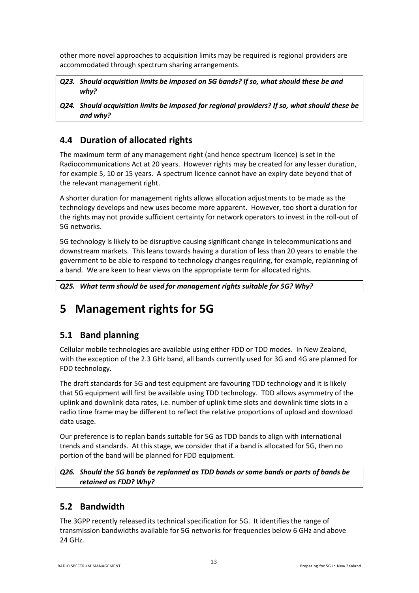other more novel approaches to acquisition limits may be required is regional providers are accommodated through spectrum sharing arrangements.

<span id="page-20-4"></span>*Q23. Should acquisition limits be imposed on 5G bands? If so, what should these be and why?*

<span id="page-20-5"></span>*Q24. Should acquisition limits be imposed for regional providers? If so, what should these be and why?*

# <span id="page-20-0"></span>**4.4 Duration of allocated rights**

The maximum term of any management right (and hence spectrum licence) is set in the Radiocommunications Act at 20 years. However rights may be created for any lesser duration, for example 5, 10 or 15 years. A spectrum licence cannot have an expiry date beyond that of the relevant management right.

A shorter duration for management rights allows allocation adjustments to be made as the technology develops and new uses become more apparent. However, too short a duration for the rights may not provide sufficient certainty for network operators to invest in the roll-out of 5G networks.

5G technology is likely to be disruptive causing significant change in telecommunications and downstream markets. This leans towards having a duration of less than 20 years to enable the government to be able to respond to technology changes requiring, for example, replanning of a band. We are keen to hear views on the appropriate term for allocated rights.

<span id="page-20-6"></span>*Q25. What term should be used for management rights suitable for 5G? Why?*

# <span id="page-20-1"></span>**5 Management rights for 5G**

# <span id="page-20-2"></span>**5.1 Band planning**

Cellular mobile technologies are available using either FDD or TDD modes. In New Zealand, with the exception of the 2.3 GHz band, all bands currently used for 3G and 4G are planned for FDD technology.

The draft standards for 5G and test equipment are favouring TDD technology and it is likely that 5G equipment will first be available using TDD technology. TDD allows asymmetry of the uplink and downlink data rates, i.e. number of uplink time slots and downlink time slots in a radio time frame may be different to reflect the relative proportions of upload and download data usage.

Our preference is to replan bands suitable for 5G as TDD bands to align with international trends and standards. At this stage, we consider that if a band is allocated for 5G, then no portion of the band will be planned for FDD equipment.

#### <span id="page-20-7"></span>*Q26. Should the 5G bands be replanned as TDD bands or some bands or parts of bands be retained as FDD? Why?*

# <span id="page-20-3"></span>**5.2 Bandwidth**

The 3GPP recently released its technical specification for 5G. It identifies the range of transmission bandwidths available for 5G networks for frequencies below 6 GHz and above 24 GHz.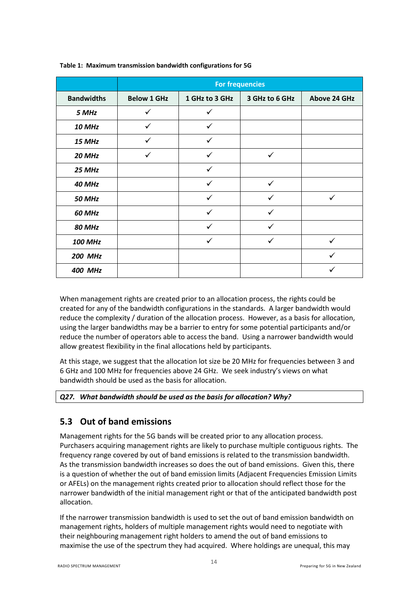|                   | <b>For frequencies</b> |                |                |                     |  |  |  |  |  |  |
|-------------------|------------------------|----------------|----------------|---------------------|--|--|--|--|--|--|
| <b>Bandwidths</b> | <b>Below 1 GHz</b>     | 1 GHz to 3 GHz | 3 GHz to 6 GHz | <b>Above 24 GHz</b> |  |  |  |  |  |  |
| 5 MHz             | ✓                      | ✓              |                |                     |  |  |  |  |  |  |
| 10 MHz            | ✓                      | ✓              |                |                     |  |  |  |  |  |  |
| 15 MHz            | $\checkmark$           | $\checkmark$   |                |                     |  |  |  |  |  |  |
| 20 MHz            | ✓                      | ✓              | ✓              |                     |  |  |  |  |  |  |
| 25 MHz            |                        | ✓              |                |                     |  |  |  |  |  |  |
| 40 MHz            |                        | $\checkmark$   | $\checkmark$   |                     |  |  |  |  |  |  |
| <b>50 MHz</b>     |                        | ✓              |                |                     |  |  |  |  |  |  |
| 60 MHz            |                        | $\checkmark$   | ✓              |                     |  |  |  |  |  |  |
| <b>80 MHz</b>     |                        | ✓              | ✓              |                     |  |  |  |  |  |  |
| <b>100 MHz</b>    |                        | ✓              | ✓              |                     |  |  |  |  |  |  |
| <b>200 MHz</b>    |                        |                |                | ✓                   |  |  |  |  |  |  |
| <b>400 MHz</b>    |                        |                |                |                     |  |  |  |  |  |  |

#### **Table 1: Maximum transmission bandwidth configurations for 5G**

When management rights are created prior to an allocation process, the rights could be created for any of the bandwidth configurations in the standards. A larger bandwidth would reduce the complexity / duration of the allocation process. However, as a basis for allocation, using the larger bandwidths may be a barrier to entry for some potential participants and/or reduce the number of operators able to access the band. Using a narrower bandwidth would allow greatest flexibility in the final allocations held by participants.

At this stage, we suggest that the allocation lot size be 20 MHz for frequencies between 3 and 6 GHz and 100 MHz for frequencies above 24 GHz. We seek industry's views on what bandwidth should be used as the basis for allocation.

#### <span id="page-21-1"></span><span id="page-21-0"></span>*Q27. What bandwidth should be used as the basis for allocation? Why?*

## **5.3 Out of band emissions**

Management rights for the 5G bands will be created prior to any allocation process. Purchasers acquiring management rights are likely to purchase multiple contiguous rights. The frequency range covered by out of band emissions is related to the transmission bandwidth. As the transmission bandwidth increases so does the out of band emissions. Given this, there is a question of whether the out of band emission limits (Adjacent Frequencies Emission Limits or AFELs) on the management rights created prior to allocation should reflect those for the narrower bandwidth of the initial management right or that of the anticipated bandwidth post allocation.

If the narrower transmission bandwidth is used to set the out of band emission bandwidth on management rights, holders of multiple management rights would need to negotiate with their neighbouring management right holders to amend the out of band emissions to maximise the use of the spectrum they had acquired. Where holdings are unequal, this may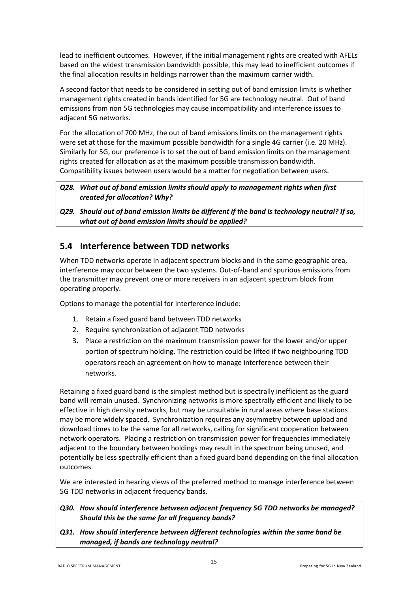lead to inefficient outcomes. However, if the initial management rights are created with AFELs based on the widest transmission bandwidth possible, this may lead to inefficient outcomes if the final allocation results in holdings narrower than the maximum carrier width.

A second factor that needs to be considered in setting out of band emission limits is whether management rights created in bands identified for 5G are technology neutral. Out of band emissions from non 5G technologies may cause incompatibility and interference issues to adjacent 5G networks.

For the allocation of 700 MHz, the out of band emissions limits on the management rights were set at those for the maximum possible bandwidth for a single 4G carrier (i.e. 20 MHz). Similarly for 5G, our preference is to set the out of band emission limits on the management rights created for allocation as at the maximum possible transmission bandwidth. Compatibility issues between users would be a matter for negotiation between users.

- <span id="page-22-1"></span>*Q28. What out of band emission limits should apply to management rights when first created for allocation? Why?*
- <span id="page-22-2"></span>*Q29. Should out of band emission limits be different if the band is technology neutral? If so, what out of band emission limits should be applied?*

# <span id="page-22-0"></span>**5.4 Interference between TDD networks**

When TDD networks operate in adjacent spectrum blocks and in the same geographic area, interference may occur between the two systems. Out-of-band and spurious emissions from the transmitter may prevent one or more receivers in an adjacent spectrum block from operating properly.

Options to manage the potential for interference include:

- 1. Retain a fixed guard band between TDD networks
- 2. Require synchronization of adjacent TDD networks
- 3. Place a restriction on the maximum transmission power for the lower and/or upper portion of spectrum holding. The restriction could be lifted if two neighbouring TDD operators reach an agreement on how to manage interference between their networks.

Retaining a fixed guard band is the simplest method but is spectrally inefficient as the guard band will remain unused. Synchronizing networks is more spectrally efficient and likely to be effective in high density networks, but may be unsuitable in rural areas where base stations may be more widely spaced. Synchronization requires any asymmetry between upload and download times to be the same for all networks, calling for significant cooperation between network operators. Placing a restriction on transmission power for frequencies immediately adjacent to the boundary between holdings may result in the spectrum being unused, and potentially be less spectrally efficient than a fixed guard band depending on the final allocation outcomes.

We are interested in hearing views of the preferred method to manage interference between 5G TDD networks in adjacent frequency bands.

#### <span id="page-22-3"></span>*Q30. How should interference between adjacent frequency 5G TDD networks be managed? Should this be the same for all frequency bands?*

<span id="page-22-4"></span>*Q31. How should interference between different technologies within the same band be managed, if bands are technology neutral?*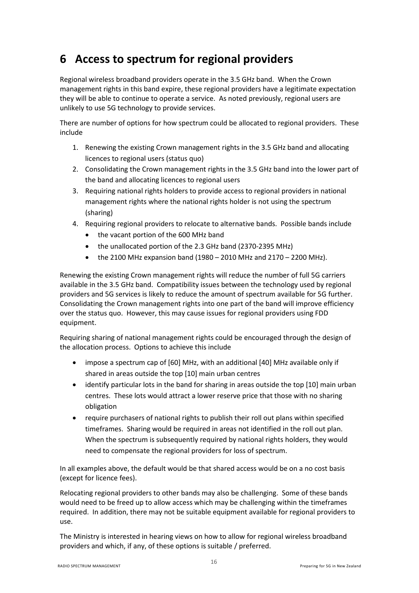# <span id="page-23-0"></span>**6 Access to spectrum for regional providers**

Regional wireless broadband providers operate in the 3.5 GHz band. When the Crown management rights in this band expire, these regional providers have a legitimate expectation they will be able to continue to operate a service. As noted previously, regional users are unlikely to use 5G technology to provide services.

There are number of options for how spectrum could be allocated to regional providers. These include

- 1. Renewing the existing Crown management rights in the 3.5 GHz band and allocating licences to regional users (status quo)
- 2. Consolidating the Crown management rights in the 3.5 GHz band into the lower part of the band and allocating licences to regional users
- 3. Requiring national rights holders to provide access to regional providers in national management rights where the national rights holder is not using the spectrum (sharing)
- 4. Requiring regional providers to relocate to alternative bands. Possible bands include
	- the vacant portion of the 600 MHz band
	- the unallocated portion of the 2.3 GHz band (2370-2395 MHz)
	- $\bullet$  the 2100 MHz expansion band (1980 2010 MHz and 2170 2200 MHz).

Renewing the existing Crown management rights will reduce the number of full 5G carriers available in the 3.5 GHz band. Compatibility issues between the technology used by regional providers and 5G services is likely to reduce the amount of spectrum available for 5G further. Consolidating the Crown management rights into one part of the band will improve efficiency over the status quo. However, this may cause issues for regional providers using FDD equipment.

Requiring sharing of national management rights could be encouraged through the design of the allocation process. Options to achieve this include

- impose a spectrum cap of [60] MHz, with an additional [40] MHz available only if shared in areas outside the top [10] main urban centres
- identify particular lots in the band for sharing in areas outside the top [10] main urban centres. These lots would attract a lower reserve price that those with no sharing obligation
- require purchasers of national rights to publish their roll out plans within specified timeframes. Sharing would be required in areas not identified in the roll out plan. When the spectrum is subsequently required by national rights holders, they would need to compensate the regional providers for loss of spectrum.

In all examples above, the default would be that shared access would be on a no cost basis (except for licence fees).

Relocating regional providers to other bands may also be challenging. Some of these bands would need to be freed up to allow access which may be challenging within the timeframes required. In addition, there may not be suitable equipment available for regional providers to use.

The Ministry is interested in hearing views on how to allow for regional wireless broadband providers and which, if any, of these options is suitable / preferred.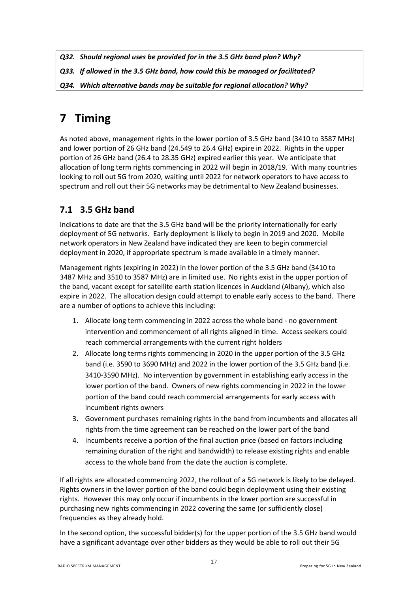<span id="page-24-2"></span>*Q32. Should regional uses be provided for in the 3.5 GHz band plan? Why?*

- <span id="page-24-3"></span>*Q33. If allowed in the 3.5 GHz band, how could this be managed or facilitated?*
- <span id="page-24-4"></span>*Q34. Which alternative bands may be suitable for regional allocation? Why?*

# <span id="page-24-0"></span>**7 Timing**

As noted above, management rights in the lower portion of 3.5 GHz band (3410 to 3587 MHz) and lower portion of 26 GHz band (24.549 to 26.4 GHz) expire in 2022. Rights in the upper portion of 26 GHz band (26.4 to 28.35 GHz) expired earlier this year. We anticipate that allocation of long term rights commencing in 2022 will begin in 2018/19. With many countries looking to roll out 5G from 2020, waiting until 2022 for network operators to have access to spectrum and roll out their 5G networks may be detrimental to New Zealand businesses.

# <span id="page-24-1"></span>**7.1 3.5 GHz band**

Indications to date are that the 3.5 GHz band will be the priority internationally for early deployment of 5G networks. Early deployment is likely to begin in 2019 and 2020. Mobile network operators in New Zealand have indicated they are keen to begin commercial deployment in 2020, if appropriate spectrum is made available in a timely manner.

Management rights (expiring in 2022) in the lower portion of the 3.5 GHz band (3410 to 3487 MHz and 3510 to 3587 MHz) are in limited use. No rights exist in the upper portion of the band, vacant except for satellite earth station licences in Auckland (Albany), which also expire in 2022. The allocation design could attempt to enable early access to the band. There are a number of options to achieve this including:

- 1. Allocate long term commencing in 2022 across the whole band no government intervention and commencement of all rights aligned in time. Access seekers could reach commercial arrangements with the current right holders
- 2. Allocate long terms rights commencing in 2020 in the upper portion of the 3.5 GHz band (i.e. 3590 to 3690 MHz) and 2022 in the lower portion of the 3.5 GHz band (i.e. 3410-3590 MHz). No intervention by government in establishing early access in the lower portion of the band. Owners of new rights commencing in 2022 in the lower portion of the band could reach commercial arrangements for early access with incumbent rights owners
- 3. Government purchases remaining rights in the band from incumbents and allocates all rights from the time agreement can be reached on the lower part of the band
- 4. Incumbents receive a portion of the final auction price (based on factors including remaining duration of the right and bandwidth) to release existing rights and enable access to the whole band from the date the auction is complete.

If all rights are allocated commencing 2022, the rollout of a 5G network is likely to be delayed. Rights owners in the lower portion of the band could begin deployment using their existing rights. However this may only occur if incumbents in the lower portion are successful in purchasing new rights commencing in 2022 covering the same (or sufficiently close) frequencies as they already hold.

In the second option, the successful bidder(s) for the upper portion of the 3.5 GHz band would have a significant advantage over other bidders as they would be able to roll out their 5G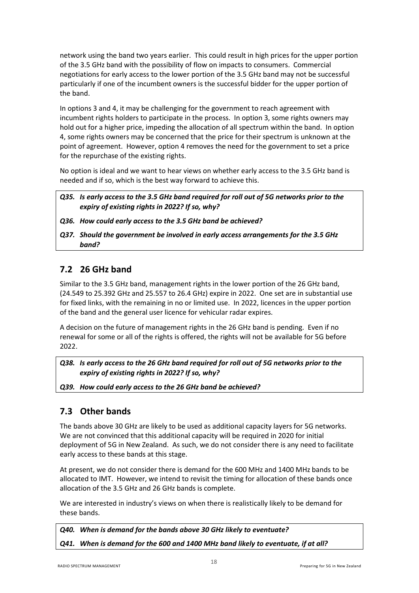network using the band two years earlier. This could result in high prices for the upper portion of the 3.5 GHz band with the possibility of flow on impacts to consumers. Commercial negotiations for early access to the lower portion of the 3.5 GHz band may not be successful particularly if one of the incumbent owners is the successful bidder for the upper portion of the band.

In options 3 and 4, it may be challenging for the government to reach agreement with incumbent rights holders to participate in the process. In option 3, some rights owners may hold out for a higher price, impeding the allocation of all spectrum within the band. In option 4, some rights owners may be concerned that the price for their spectrum is unknown at the point of agreement. However, option 4 removes the need for the government to set a price for the repurchase of the existing rights.

No option is ideal and we want to hear views on whether early access to the 3.5 GHz band is needed and if so, which is the best way forward to achieve this.

<span id="page-25-2"></span>*Q35. Is early access to the 3.5 GHz band required for roll out of 5G networks prior to the expiry of existing rights in 2022? If so, why?*

- <span id="page-25-3"></span>*Q36. How could early access to the 3.5 GHz band be achieved?*
- <span id="page-25-4"></span>*Q37. Should the government be involved in early access arrangements for the 3.5 GHz band?*

## <span id="page-25-0"></span>**7.2 26 GHz band**

Similar to the 3.5 GHz band, management rights in the lower portion of the 26 GHz band, (24.549 to 25.392 GHz and 25.557 to 26.4 GHz) expire in 2022. One set are in substantial use for fixed links, with the remaining in no or limited use. In 2022, licences in the upper portion of the band and the general user licence for vehicular radar expires.

A decision on the future of management rights in the 26 GHz band is pending. Even if no renewal for some or all of the rights is offered, the rights will not be available for 5G before 2022.

<span id="page-25-5"></span>*Q38. Is early access to the 26 GHz band required for roll out of 5G networks prior to the expiry of existing rights in 2022? If so, why?*

<span id="page-25-6"></span><span id="page-25-1"></span>*Q39. How could early access to the 26 GHz band be achieved?* 

## **7.3 Other bands**

The bands above 30 GHz are likely to be used as additional capacity layers for 5G networks. We are not convinced that this additional capacity will be required in 2020 for initial deployment of 5G in New Zealand. As such, we do not consider there is any need to facilitate early access to these bands at this stage.

At present, we do not consider there is demand for the 600 MHz and 1400 MHz bands to be allocated to IMT. However, we intend to revisit the timing for allocation of these bands once allocation of the 3.5 GHz and 26 GHz bands is complete.

We are interested in industry's views on when there is realistically likely to be demand for these bands.

<span id="page-25-8"></span><span id="page-25-7"></span>*Q40. When is demand for the bands above 30 GHz likely to eventuate? Q41. When is demand for the 600 and 1400 MHz band likely to eventuate, if at all?*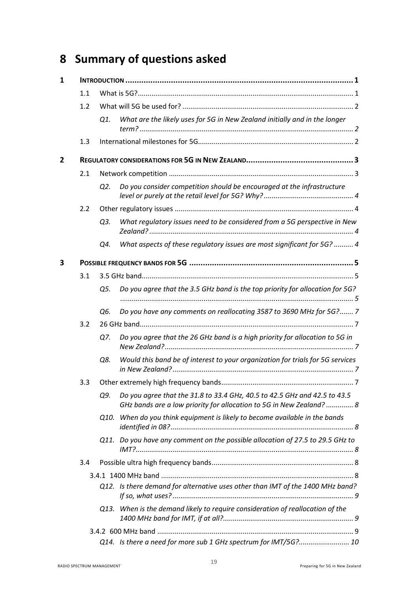# <span id="page-26-0"></span>**8 Summary of questions asked**

| $\mathbf{1}$ |     |      |                                                                                                                                                   |  |  |  |  |  |  |  |  |
|--------------|-----|------|---------------------------------------------------------------------------------------------------------------------------------------------------|--|--|--|--|--|--|--|--|
|              | 1.1 |      |                                                                                                                                                   |  |  |  |  |  |  |  |  |
|              | 1.2 |      |                                                                                                                                                   |  |  |  |  |  |  |  |  |
|              |     | Q1.  | What are the likely uses for 5G in New Zealand initially and in the longer                                                                        |  |  |  |  |  |  |  |  |
|              | 1.3 |      |                                                                                                                                                   |  |  |  |  |  |  |  |  |
| 2            |     |      |                                                                                                                                                   |  |  |  |  |  |  |  |  |
|              | 2.1 |      |                                                                                                                                                   |  |  |  |  |  |  |  |  |
|              |     | Q2.  | Do you consider competition should be encouraged at the infrastructure                                                                            |  |  |  |  |  |  |  |  |
|              | 2.2 |      |                                                                                                                                                   |  |  |  |  |  |  |  |  |
|              |     | Q3.  | What regulatory issues need to be considered from a 5G perspective in New                                                                         |  |  |  |  |  |  |  |  |
|              |     | Q4.  | What aspects of these regulatory issues are most significant for 5G?  4                                                                           |  |  |  |  |  |  |  |  |
| 3            |     |      |                                                                                                                                                   |  |  |  |  |  |  |  |  |
|              | 3.1 |      |                                                                                                                                                   |  |  |  |  |  |  |  |  |
|              |     | Q5.  | Do you agree that the 3.5 GHz band is the top priority for allocation for 5G?                                                                     |  |  |  |  |  |  |  |  |
|              |     | Q6.  | Do you have any comments on reallocating 3587 to 3690 MHz for 5G? 7                                                                               |  |  |  |  |  |  |  |  |
|              | 3.2 |      |                                                                                                                                                   |  |  |  |  |  |  |  |  |
|              |     | Q7.  | Do you agree that the 26 GHz band is a high priority for allocation to 5G in                                                                      |  |  |  |  |  |  |  |  |
|              |     | Q8.  | Would this band be of interest to your organization for trials for 5G services                                                                    |  |  |  |  |  |  |  |  |
|              | 3.3 |      |                                                                                                                                                   |  |  |  |  |  |  |  |  |
|              |     | Q9.  | Do you agree that the 31.8 to 33.4 GHz, 40.5 to 42.5 GHz and 42.5 to 43.5<br>GHz bands are a low priority for allocation to 5G in New Zealand?  8 |  |  |  |  |  |  |  |  |
|              |     | O10. | When do you think equipment is likely to become available in the bands                                                                            |  |  |  |  |  |  |  |  |
|              |     |      | Q11. Do you have any comment on the possible allocation of 27.5 to 29.5 GHz to                                                                    |  |  |  |  |  |  |  |  |
|              | 3.4 |      |                                                                                                                                                   |  |  |  |  |  |  |  |  |
|              |     |      |                                                                                                                                                   |  |  |  |  |  |  |  |  |
|              |     |      | Q12. Is there demand for alternative uses other than IMT of the 1400 MHz band?                                                                    |  |  |  |  |  |  |  |  |
|              |     | O13. | When is the demand likely to require consideration of reallocation of the                                                                         |  |  |  |  |  |  |  |  |
|              |     |      |                                                                                                                                                   |  |  |  |  |  |  |  |  |
|              |     |      | Q14. Is there a need for more sub 1 GHz spectrum for IMT/5G? 10                                                                                   |  |  |  |  |  |  |  |  |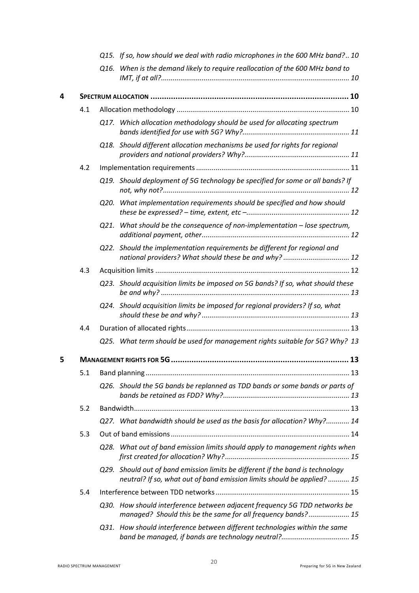|   |     |      | Q15. If so, how should we deal with radio microphones in the 600 MHz band? 10                                                                            |  |
|---|-----|------|----------------------------------------------------------------------------------------------------------------------------------------------------------|--|
|   |     |      | Q16. When is the demand likely to require reallocation of the 600 MHz band to                                                                            |  |
| 4 |     |      |                                                                                                                                                          |  |
|   | 4.1 |      |                                                                                                                                                          |  |
|   |     |      | Q17. Which allocation methodology should be used for allocating spectrum                                                                                 |  |
|   |     |      | Q18. Should different allocation mechanisms be used for rights for regional                                                                              |  |
|   | 4.2 |      |                                                                                                                                                          |  |
|   |     |      | Q19. Should deployment of 5G technology be specified for some or all bands? If                                                                           |  |
|   |     |      | Q20. What implementation requirements should be specified and how should                                                                                 |  |
|   |     | O21. | What should be the consequence of non-implementation $-$ lose spectrum,                                                                                  |  |
|   |     |      | Q22. Should the implementation requirements be different for regional and<br>national providers? What should these be and why?  12                       |  |
|   | 4.3 |      |                                                                                                                                                          |  |
|   |     |      | Q23. Should acquisition limits be imposed on 5G bands? If so, what should these                                                                          |  |
|   |     |      | Q24. Should acquisition limits be imposed for regional providers? If so, what                                                                            |  |
|   | 4.4 |      |                                                                                                                                                          |  |
|   |     |      | Q25. What term should be used for management rights suitable for 5G? Why? 13                                                                             |  |
| 5 |     |      |                                                                                                                                                          |  |
|   | 5.1 |      |                                                                                                                                                          |  |
|   |     |      | Q26. Should the 5G bands be replanned as TDD bands or some bands or parts of                                                                             |  |
|   | 5.2 |      |                                                                                                                                                          |  |
|   |     |      | Q27. What bandwidth should be used as the basis for allocation? Why? 14                                                                                  |  |
|   | 5.3 |      |                                                                                                                                                          |  |
|   |     |      | Q28. What out of band emission limits should apply to management rights when                                                                             |  |
|   |     |      | Q29. Should out of band emission limits be different if the band is technology<br>neutral? If so, what out of band emission limits should be applied? 15 |  |
|   | 5.4 |      |                                                                                                                                                          |  |
|   |     |      | Q30. How should interference between adjacent frequency 5G TDD networks be<br>managed? Should this be the same for all frequency bands? 15               |  |
|   |     |      | Q31. How should interference between different technologies within the same                                                                              |  |